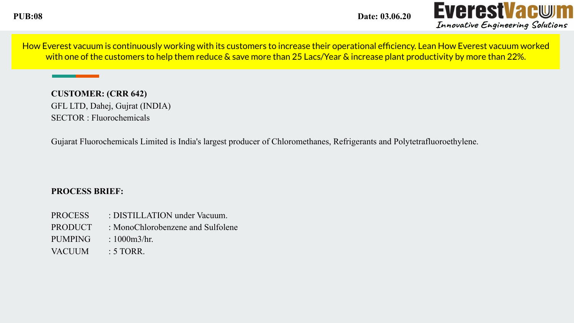**PUB:08 Date: 03.06.20**



How Everest vacuum is continuously working with its customers to increase their operational efficiency. Lean How Everest vacuum worked with one of the customers to help them reduce & save more than 25 Lacs/Year & increase plant productivity by more than 22%.

**CUSTOMER: (CRR 642)** GFL LTD, Dahej, Gujrat (INDIA) SECTOR : Fluorochemicals

Gujarat Fluorochemicals Limited is India's largest producer of Chloromethanes, Refrigerants and Polytetrafluoroethylene.

## **PROCESS BRIEF:**

- PROCESS : DISTILLATION under Vacuum.
- PRODUCT : MonoChlorobenzene and Sulfolene
- PUMPING : 1000m3/hr.
- VACUUM : 5 TORR.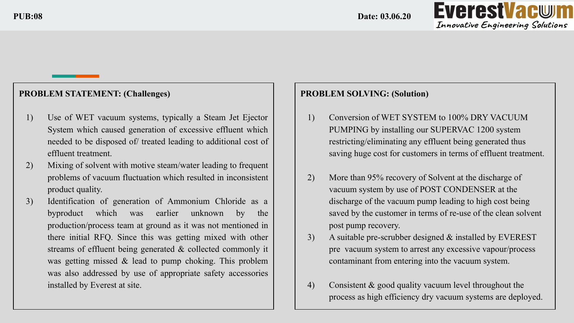

# **PROBLEM STATEMENT: (Challenges)**

- 1) Use of WET vacuum systems, typically a Steam Jet Ejector System which caused generation of excessive effluent which needed to be disposed of/ treated leading to additional cost of effluent treatment.
- 2) Mixing of solvent with motive steam/water leading to frequent problems of vacuum fluctuation which resulted in inconsistent product quality.
- 3) Identification of generation of Ammonium Chloride as a byproduct which was earlier unknown by the production/process team at ground as it was not mentioned in there initial RFQ. Since this was getting mixed with other streams of effluent being generated & collected commonly it was getting missed  $\&$  lead to pump choking. This problem was also addressed by use of appropriate safety accessories installed by Everest at site.

#### **PROBLEM SOLVING: (Solution)**

- 1) Conversion of WET SYSTEM to 100% DRY VACUUM PUMPING by installing our SUPERVAC 1200 system restricting/eliminating any effluent being generated thus saving huge cost for customers in terms of effluent treatment.
- 2) More than 95% recovery of Solvent at the discharge of vacuum system by use of POST CONDENSER at the discharge of the vacuum pump leading to high cost being saved by the customer in terms of re-use of the clean solvent post pump recovery.
- 3) A suitable pre-scrubber designed & installed by EVEREST pre vacuum system to arrest any excessive vapour/process contaminant from entering into the vacuum system.
- 4) Consistent & good quality vacuum level throughout the process as high efficiency dry vacuum systems are deployed.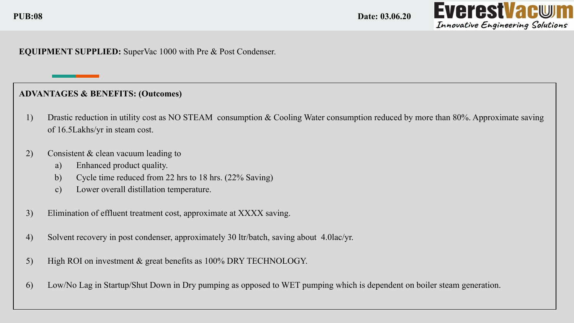**PUB:08 Date: 03.06.20**



## **EQUIPMENT SUPPLIED:** SuperVac 1000 with Pre & Post Condenser.

## **ADVANTAGES & BENEFITS: (Outcomes)**

- 1) Drastic reduction in utility cost as NO STEAM consumption & Cooling Water consumption reduced by more than 80%. Approximate saving of 16.5Lakhs/yr in steam cost.
- 2) Consistent & clean vacuum leading to
	- a) Enhanced product quality.
	- b) Cycle time reduced from 22 hrs to 18 hrs. (22% Saving)
	- c) Lower overall distillation temperature.
- 3) Elimination of effluent treatment cost, approximate at XXXX saving.
- 4) Solvent recovery in post condenser, approximately 30 ltr/batch, saving about 4.0lac/yr.
- 5) High ROI on investment & great benefits as 100% DRY TECHNOLOGY.
- 6) Low/No Lag in Startup/Shut Down in Dry pumping as opposed to WET pumping which is dependent on boiler steam generation.